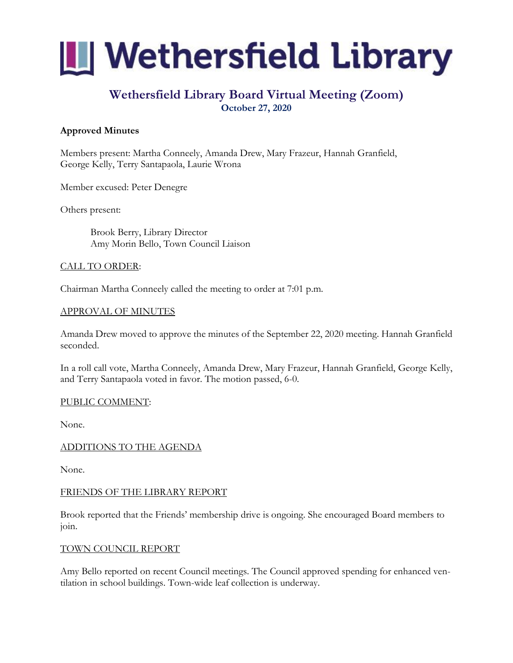

# **Wethersfield Library Board Virtual Meeting (Zoom) October 27, 2020**

# **Approved Minutes**

Members present: Martha Conneely, Amanda Drew, Mary Frazeur, Hannah Granfield, George Kelly, Terry Santapaola, Laurie Wrona

Member excused: Peter Denegre

Others present:

Brook Berry, Library Director Amy Morin Bello, Town Council Liaison

### CALL TO ORDER:

Chairman Martha Conneely called the meeting to order at 7:01 p.m.

### APPROVAL OF MINUTES

Amanda Drew moved to approve the minutes of the September 22, 2020 meeting. Hannah Granfield seconded.

In a roll call vote, Martha Conneely, Amanda Drew, Mary Frazeur, Hannah Granfield, George Kelly, and Terry Santapaola voted in favor. The motion passed, 6-0.

#### PUBLIC COMMENT:

None.

### ADDITIONS TO THE AGENDA

None.

#### FRIENDS OF THE LIBRARY REPORT

Brook reported that the Friends' membership drive is ongoing. She encouraged Board members to join.

#### TOWN COUNCIL REPORT

Amy Bello reported on recent Council meetings. The Council approved spending for enhanced ventilation in school buildings. Town-wide leaf collection is underway.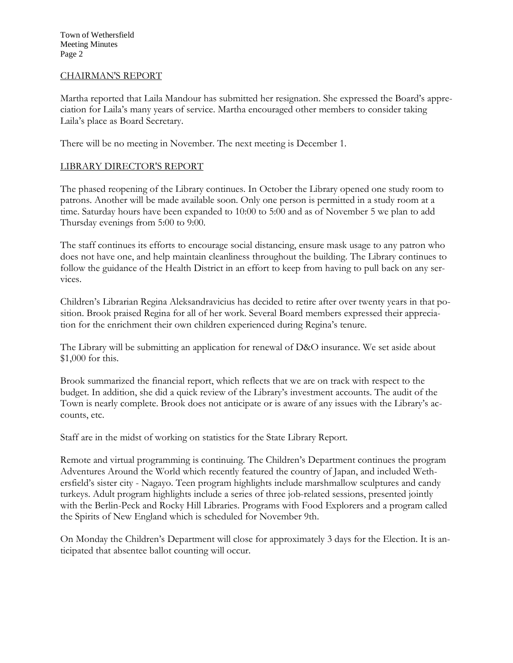Town of Wethersfield Meeting Minutes Page 2

#### CHAIRMAN'S REPORT

Martha reported that Laila Mandour has submitted her resignation. She expressed the Board's appreciation for Laila's many years of service. Martha encouraged other members to consider taking Laila's place as Board Secretary.

There will be no meeting in November. The next meeting is December 1.

### LIBRARY DIRECTOR'S REPORT

The phased reopening of the Library continues. In October the Library opened one study room to patrons. Another will be made available soon. Only one person is permitted in a study room at a time. Saturday hours have been expanded to 10:00 to 5:00 and as of November 5 we plan to add Thursday evenings from 5:00 to 9:00.

The staff continues its efforts to encourage social distancing, ensure mask usage to any patron who does not have one, and help maintain cleanliness throughout the building. The Library continues to follow the guidance of the Health District in an effort to keep from having to pull back on any services.

Children's Librarian Regina Aleksandravicius has decided to retire after over twenty years in that position. Brook praised Regina for all of her work. Several Board members expressed their appreciation for the enrichment their own children experienced during Regina's tenure.

The Library will be submitting an application for renewal of D&O insurance. We set aside about \$1,000 for this.

Brook summarized the financial report, which reflects that we are on track with respect to the budget. In addition, she did a quick review of the Library's investment accounts. The audit of the Town is nearly complete. Brook does not anticipate or is aware of any issues with the Library's accounts, etc.

Staff are in the midst of working on statistics for the State Library Report.

Remote and virtual programming is continuing. The Children's Department continues the program Adventures Around the World which recently featured the country of Japan, and included Wethersfield's sister city - Nagayo. Teen program highlights include marshmallow sculptures and candy turkeys. Adult program highlights include a series of three job-related sessions, presented jointly with the Berlin-Peck and Rocky Hill Libraries. Programs with Food Explorers and a program called the Spirits of New England which is scheduled for November 9th.

On Monday the Children's Department will close for approximately 3 days for the Election. It is anticipated that absentee ballot counting will occur.